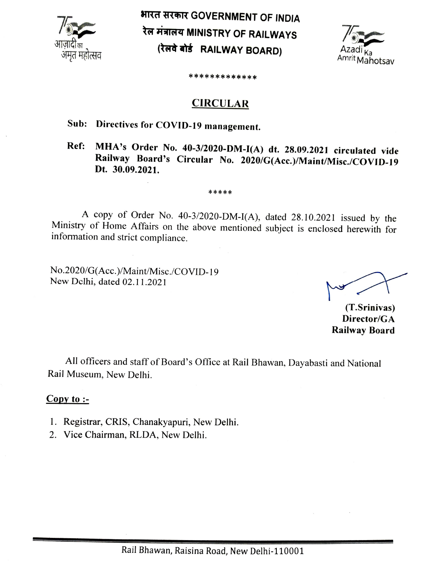

भारत सरकार GOVERNMENT OF INDIA रेल मंत्रालय MINISTRY OF RAILWAYS<br>(रेलवे बोर्ड RAILWAY BOARD) Azadi <sub>Ka</sub> Amrit Mahotsav



\*\*\*\*\*\*\*\*\*\*\*\*

### **CIRCULAR**

## Sub: Directives for COVID-19 management.

### MHA's Order No. 40-3/20020-DM-I(A) dt. 28.09.2021 circulated vide Railway Board's Circular No. 2020/G(Acc.)/Maint/Misc./COVID-19 Dt. 30.09.2021. Ref:

#### \*\*\*\* \*

A copy of Order No. 40-3/2020-DM-I(A), dated 28.10.2021 issued by the Ministry of Home Affairs on the above mentioned subject is enclosed herewith for information and strict compliance.

No.2020/G(Acc.)/Maint/Misc./COVID-19 New Delhi, dated 02.11.2021

(T.Srinivas) Director/GA Railway Board

All officers and staff of Board's Office at Rail Bhawan, Dayabasti and National Rail Museum, New Delhi.

### $Copy to:$

- 1. Registrar, CRIS, Chanakyapuri, New Delhi.
- 2. Vice Chairman, RLDA, New Delhi.